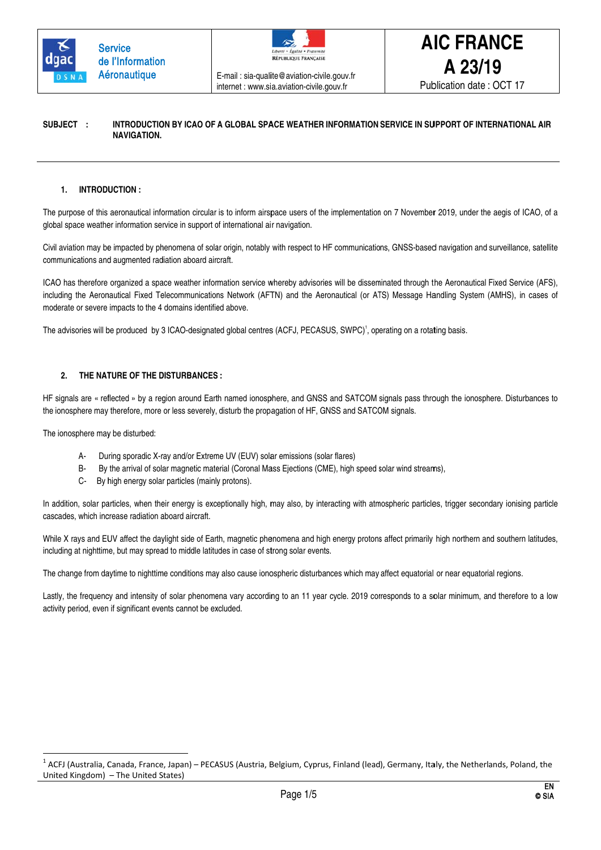



E-mail: sia-qualite@aviation-civile.gouv.fr internet : www.sia.aviation-civile.gouv.fr

**AIC FRANCE** A 23/19

Publication date: OCT 17

### INTRODUCTION BY ICAO OF A GLOBAL SPACE WEATHER INFORMATION SERVICE IN SUPPORT OF INTERNATIONAL AIR SUBJECT : **NAVIGATION.**

#### INTRODUCTION:  $\blacksquare$

The purpose of this aeronautical information circular is to inform airspace users of the implementation on 7 November 2019, under the aegis of ICAO, of a global space weather information service in support of international air navigation.

Civil aviation may be impacted by phenomena of solar origin, notably with respect to HF communications, GNSS-based navigation and surveillance, satellite communications and augmented radiation aboard aircraft.

ICAO has therefore organized a space weather information service whereby advisories will be disseminated through the Aeronautical Fixed Service (AFS). including the Aeronautical Fixed Telecommunications Network (AFTN) and the Aeronautical (or ATS) Message Handling System (AMHS), in cases of moderate or severe impacts to the 4 domains identified above.

The advisories will be produced by 3 ICAO-designated global centres (ACFJ, PECASUS, SWPC)<sup>1</sup>, operating on a rotating basis.

#### THE NATURE OF THE DISTURBANCES :  $2.$

HF signals are « reflected » by a region around Earth named ionosphere, and GNSS and SATCOM signals pass through the ionosphere. Disturbances to the ionosphere may therefore, more or less severely, disturb the propagation of HF, GNSS and SATCOM signals.

The ionosphere may be disturbed:

- During sporadic X-ray and/or Extreme UV (EUV) solar emissions (solar flares)  $A-$
- By the arrival of solar magnetic material (Coronal Mass Ejections (CME), high speed solar wind streams),  $B -$
- C- By high energy solar particles (mainly protons).

In addition, solar particles, when their energy is exceptionally high, may also, by interacting with atmospheric particles, trigger secondary ionising particle cascades, which increase radiation aboard aircraft.

While X rays and EUV affect the daylight side of Earth, magnetic phenomena and high energy protons affect primarily high northern and southern latitudes, including at nighttime, but may spread to middle latitudes in case of strong solar events.

The change from daytime to nighttime conditions may also cause ionospheric disturbances which may affect equatorial or near equatorial regions.

Lastly, the frequency and intensity of solar phenomena vary according to an 11 year cycle. 2019 corresponds to a solar minimum, and therefore to a low activity period, even if significant events cannot be excluded.

 $^1$  ACFJ (Australia, Canada, France, Japan) – PECASUS (Austria, Belgium, Cyprus, Finland (lead), Germany, Italy, the Netherlands, Poland, the United Kingdom) - The United States)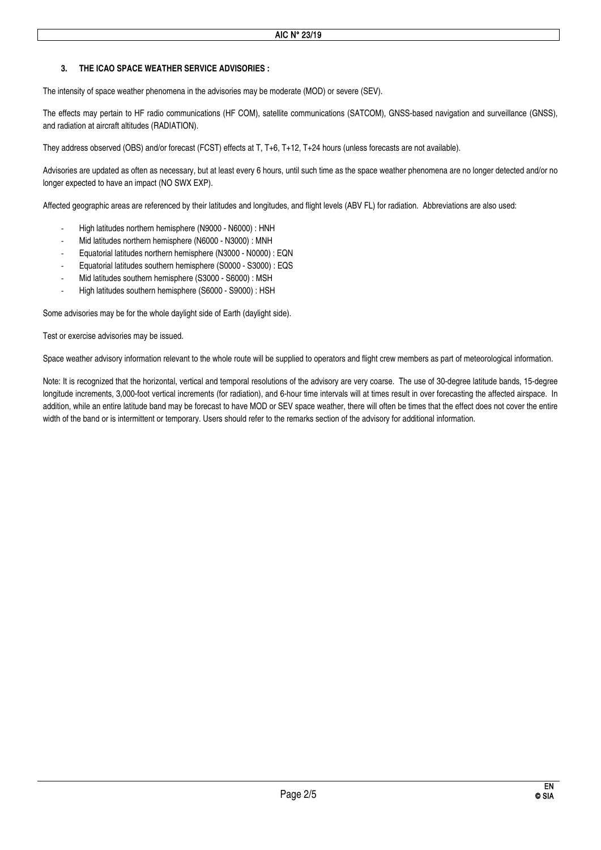## **3. THE ICAO SPACE WEATHER SERVICE ADVISORIES :**

The intensity of space weather phenomena in the advisories may be moderate (MOD) or severe (SEV).

The effects may pertain to HF radio communications (HF COM), satellite communications (SATCOM), GNSS-based navigation and surveillance (GNSS), and radiation at aircraft altitudes (RADIATION).

They address observed (OBS) and/or forecast (FCST) effects at T, T+6, T+12, T+24 hours (unless forecasts are not available).

Advisories are updated as often as necessary, but at least every 6 hours, until such time as the space weather phenomena are no longer detected and/or no longer expected to have an impact (NO SWX EXP).

Affected geographic areas are referenced by their latitudes and longitudes, and flight levels (ABV FL) for radiation. Abbreviations are also used:

- ‐ High latitudes northern hemisphere (N9000 N6000) : HNH
- ‐ Mid latitudes northern hemisphere (N6000 N3000) : MNH
- ‐ Equatorial latitudes northern hemisphere (N3000 N0000) : EQN
- ‐ Equatorial latitudes southern hemisphere (S0000 S3000) : EQS
- ‐ Mid latitudes southern hemisphere (S3000 S6000) : MSH
- ‐ High latitudes southern hemisphere (S6000 S9000) : HSH

Some advisories may be for the whole daylight side of Earth (daylight side).

Test or exercise advisories may be issued.

Space weather advisory information relevant to the whole route will be supplied to operators and flight crew members as part of meteorological information.

Note: It is recognized that the horizontal, vertical and temporal resolutions of the advisory are very coarse. The use of 30-degree latitude bands, 15-degree longitude increments, 3,000-foot vertical increments (for radiation), and 6-hour time intervals will at times result in over forecasting the affected airspace. In addition, while an entire latitude band may be forecast to have MOD or SEV space weather, there will often be times that the effect does not cover the entire width of the band or is intermittent or temporary. Users should refer to the remarks section of the advisory for additional information.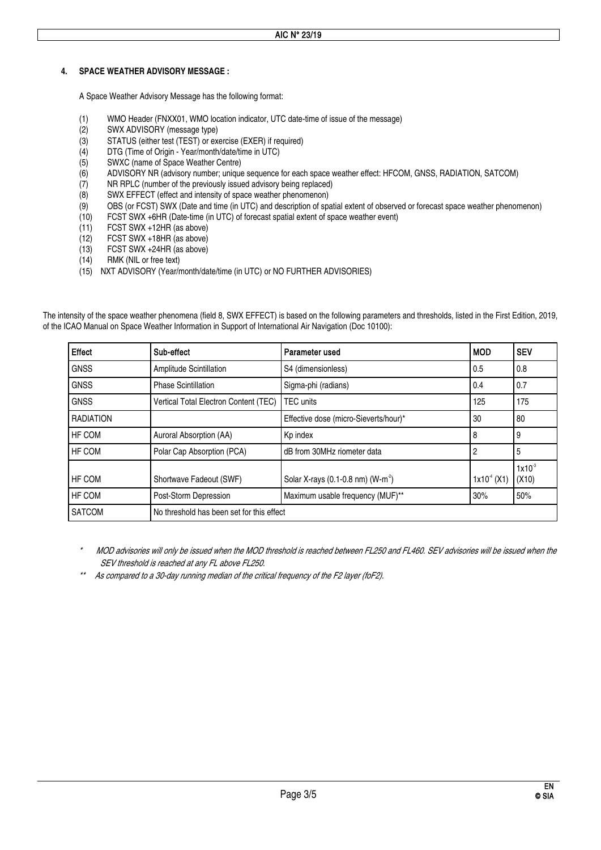# **4. SPACE WEATHER ADVISORY MESSAGE :**

A Space Weather Advisory Message has the following format:

- (1) WMO Header (FNXX01, WMO location indicator, UTC date-time of issue of the message)
- (2) SWX ADVISORY (message type)
- (3) STATUS (either test (TEST) or exercise (EXER) if required)
- (4) DTG (Time of Origin Year/month/date/time in UTC)
- (5) SWXC (name of Space Weather Centre)
- (6) ADVISORY NR (advisory number; unique sequence for each space weather effect: HFCOM, GNSS, RADIATION, SATCOM)
- (7) NR RPLC (number of the previously issued advisory being replaced)
- (8) SWX EFFECT (effect and intensity of space weather phenomenon)
- (9) OBS (or FCST) SWX (Date and time (in UTC) and description of spatial extent of observed or forecast space weather phenomenon)
- (10) FCST SWX +6HR (Date-time (in UTC) of forecast spatial extent of space weather event)
- (11) FCST SWX +12HR (as above)<br>(12) FCST SWX +18HR (as above)
- (12) FCST SWX +18HR (as above)
- FCST SWX +24HR (as above)
- (14) RMK (NIL or free text)
- (15) NXT ADVISORY (Year/month/date/time (in UTC) or NO FURTHER ADVISORIES)

The intensity of the space weather phenomena (field 8, SWX EFFECT) is based on the following parameters and thresholds, listed in the First Edition, 2019, of the ICAO Manual on Space Weather Information in Support of International Air Navigation (Doc 10100):

| <b>Effect</b>    | Sub-effect                                | Parameter used                                | <b>MOD</b>    | <b>SEV</b>                 |
|------------------|-------------------------------------------|-----------------------------------------------|---------------|----------------------------|
| <b>GNSS</b>      | <b>Amplitude Scintillation</b>            | S4 (dimensionless)                            | 0.5           | 0.8                        |
| <b>GNSS</b>      | <b>Phase Scintillation</b>                | Sigma-phi (radians)                           | 0.4           | 0.7                        |
| <b>GNSS</b>      | Vertical Total Electron Content (TEC)     | <b>TEC</b> units                              | 125           | 175                        |
| <b>RADIATION</b> |                                           | Effective dose (micro-Sieverts/hour)*         | 30            | 80                         |
| HF COM           | Auroral Absorption (AA)                   | Kp index                                      | 8             | 9                          |
| HF COM           | Polar Cap Absorption (PCA)                | dB from 30MHz riometer data                   | 2             | 5                          |
| HF COM           | Shortwave Fadeout (SWF)                   | Solar X-rays (0.1-0.8 nm) (W-m <sup>2</sup> ) | $1x10^4 (X1)$ | 1x10 <sup>3</sup><br>(X10) |
| HF COM           | Post-Storm Depression                     | Maximum usable frequency (MUF)**              | 30%           | 50%                        |
| <b>SATCOM</b>    | No threshold has been set for this effect |                                               |               |                            |

MOD advisories will only be issued when the MOD threshold is reached between FL250 and FL460. SEV advisories will be issued when the SEV threshold is reached at any FL above FL250.

As compared to a 30-day running median of the critical frequency of the F2 layer (foF2).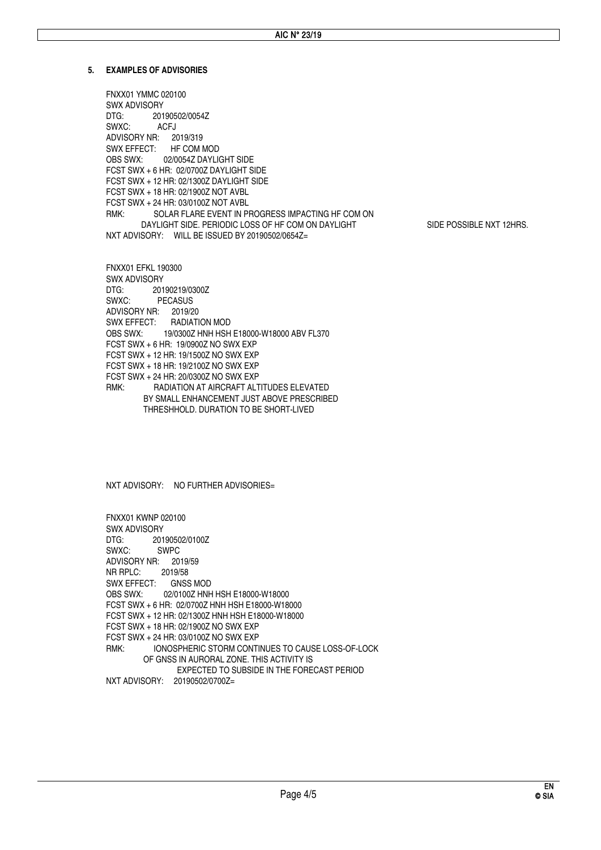## **5. EXAMPLES OF ADVISORIES**

FNXX01 YMMC 020100 SWX ADVISORY<br>DTG: 201 20190502/0054Z SWXC: ACFJ ADVISORY NR: 2019/319 SWX EFFECT: HF COM MOD<br>OBS SWX: 02/0054Z DAYLI 02/0054Z DAYLIGHT SIDE FCST SWX + 6 HR: 02/0700Z DAYLIGHT SIDE FCST SWX + 12 HR: 02/1300Z DAYLIGHT SIDE FCST SWX + 18 HR: 02/1900Z NOT AVBL FCST SWX + 24 HR: 03/0100Z NOT AVBL RMK: SOLAR FLARE EVENT IN PROGRESS IMPACTING HF COM ON DAYLIGHT SIDE. PERIODIC LOSS OF HF COM ON DAYLIGHT SIDE POSSIBLE NXT 12HRS. NXT ADVISORY: WILL BE ISSUED BY 20190502/0654Z=

FNXX01 EFKL 190300 SWX ADVISORY DTG: 20190219/0300Z<br>SWXC: PECASUS **PECASUS** ADVISORY NR: 2019/20 SWX EFFECT: RADIATION MOD OBS SWX: 19/0300Z HNH HSH E18000-W18000 ABV FL370 FCST SWX + 6 HR: 19/0900Z NO SWX EXP FCST SWX + 12 HR: 19/1500Z NO SWX EXP FCST SWX + 18 HR: 19/2100Z NO SWX EXP FCST SWX + 24 HR: 20/0300Z NO SWX EXP RMK: RADIATION AT AIRCRAFT ALTITUDES ELEVATED BY SMALL ENHANCEMENT JUST ABOVE PRESCRIBED THRESHHOLD. DURATION TO BE SHORT-LIVED

## NXT ADVISORY: NO FURTHER ADVISORIES=

FNXX01 KWNP 020100 SWX ADVISORY<br>DTG: 201 DTG: 20190502/0100Z<br>SWXC: SWPC SW<sub>PC</sub> ADVISORY NR: 2019/59<br>NR RPLC: 2019/58 NR RPLC: SWX EFFECT: GNSS MOD OBS SWX: 02/0100Z HNH HSH E18000-W18000 FCST SWX + 6 HR: 02/0700Z HNH HSH E18000-W18000 FCST SWX + 12 HR: 02/1300Z HNH HSH E18000-W18000 FCST SWX + 18 HR: 02/1900Z NO SWX EXP FCST SWX + 24 HR: 03/0100Z NO SWX EXP RMK: IONOSPHERIC STORM CONTINUES TO CAUSE LOSS-OF-LOCK OF GNSS IN AURORAL ZONE. THIS ACTIVITY IS EXPECTED TO SUBSIDE IN THE FORECAST PERIOD NXT ADVISORY: 20190502/0700Z=